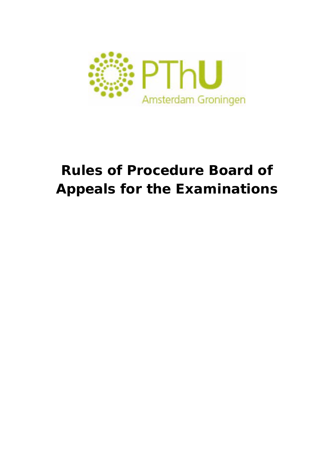

# **Rules of Procedure Board of Appeals for the Examinations**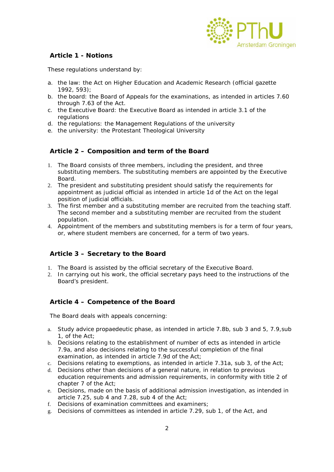

# **Article 1 - Notions**

These regulations understand by:

- a. the law: the Act on Higher Education and Academic Research (official gazette 1992, 593);
- b. the board: the Board of Appeals for the examinations, as intended in articles 7.60 through 7.63 of the Act.
- c. the Executive Board: the Executive Board as intended in article 3.1 of the regulations
- d. the regulations: the Management Regulations of the university
- e. the university: the Protestant Theological University

## **Article 2 – Composition and term of the Board**

- 1. The Board consists of three members, including the president, and three substituting members. The substituting members are appointed by the Executive Board.
- 2. The president and substituting president should satisfy the requirements for appointment as judicial official as intended in article 1d of the Act on the legal position of judicial officials.
- 3. The first member and a substituting member are recruited from the teaching staff. The second member and a substituting member are recruited from the student population.
- 4. Appointment of the members and substituting members is for a term of four years, or, where student members are concerned, for a term of two years.

## **Article 3 – Secretary to the Board**

- 1. The Board is assisted by the official secretary of the Executive Board.
- 2. In carrying out his work, the official secretary pays heed to the instructions of the Board's president.

## **Article 4 – Competence of the Board**

The Board deals with appeals concerning:

- a. Study advice propaedeutic phase, as intended in article 7.8b, sub 3 and 5, 7.9,sub 1, of the Act;
- b. Decisions relating to the establishment of number of ects as intended in article 7.9a, and also decisions relating to the successful completion of the final examination, as intended in article 7.9d of the Act;
- c. Decisions relating to exemptions, as intended in article 7.31a, sub 3, of the Act;
- d. Decisions other than decisions of a general nature, in relation to previous education requirements and admission requirements, in conformity with title 2 of chapter 7 of the Act;
- e. Decisions, made on the basis of additional admission investigation, as intended in article 7.25, sub 4 and 7.28, sub 4 of the Act;
- f. Decisions of examination committees and examiners;
- g. Decisions of committees as intended in article 7.29, sub 1, of the Act, and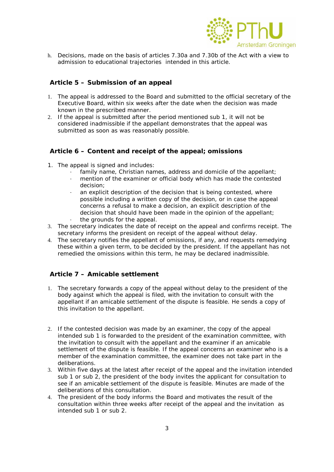

h. Decisions, made on the basis of articles 7.30a and 7.30b of the Act with a view to admission to educational trajectories intended in this article.

#### **Article 5 – Submission of an appeal**

- 1. The appeal is addressed to the Board and submitted to the official secretary of the Executive Board, within six weeks after the date when the decision was made known in the prescribed manner.
- 2. If the appeal is submitted after the period mentioned sub 1, it will not be considered inadmissible if the appellant demonstrates that the appeal was submitted as soon as was reasonably possible.

## **Article 6 – Content and receipt of the appeal; omissions**

- 1. The appeal is signed and includes:
	- family name, Christian names, address and domicile of the appellant;
	- mention of the examiner or official body which has made the contested decision;
	- an explicit description of the decision that is being contested, where possible including a written copy of the decision, or in case the appeal concerns a refusal to make a decision, an explicit description of the decision that should have been made in the opinion of the appellant;
	- the grounds for the appeal.
- 3. The secretary indicates the date of receipt on the appeal and confirms receipt. The secretary informs the president on receipt of the appeal without delay.
- 4. The secretary notifies the appellant of omissions, if any, and requests remedying these within a given term, to be decided by the president. If the appellant has not remedied the omissions within this term, he may be declared inadmissible.

## **Article 7 – Amicable settlement**

- 1. The secretary forwards a copy of the appeal without delay to the president of the body against which the appeal is filed, with the invitation to consult with the appellant if an amicable settlement of the dispute is feasible. He sends a copy of this invitation to the appellant.
- 2. If the contested decision was made by an examiner, the copy of the appeal intended sub 1 is forwarded to the president of the examination committee, with the invitation to consult with the appellant and the examiner if an amicable settlement of the dispute is feasible. If the appeal concerns an examiner who is a member of the examination committee, the examiner does not take part in the deliberations.
- 3. Within five days at the latest after receipt of the appeal and the invitation intended sub 1 or sub 2, the president of the body invites the applicant for consultation to see if an amicable settlement of the dispute is feasible. Minutes are made of the deliberations of this consultation.
- 4. The president of the body informs the Board and motivates the result of the consultation within three weeks after receipt of the appeal and the invitation as intended sub 1 or sub 2.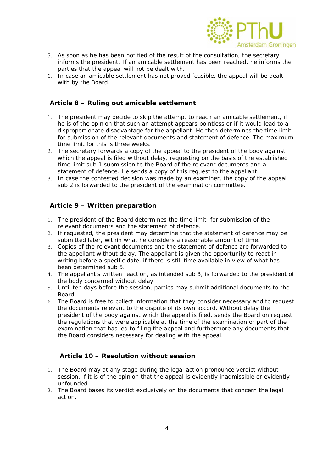

- 5. As soon as he has been notified of the result of the consultation, the secretary informs the president. If an amicable settlement has been reached, he informs the parties that the appeal will not be dealt with.
- 6. In case an amicable settlement has not proved feasible, the appeal will be dealt with by the Board.

#### **Article 8 – Ruling out amicable settlement**

- 1. The president may decide to skip the attempt to reach an amicable settlement, if he is of the opinion that such an attempt appears pointless or if it would lead to a disproportionate disadvantage for the appellant. He then determines the time limit for submission of the relevant documents and statement of defence. The maximum time limit for this is three weeks.
- 2. The secretary forwards a copy of the appeal to the president of the body against which the appeal is filed without delay, requesting on the basis of the established time limit sub 1 submission to the Board of the relevant documents and a statement of defence. He sends a copy of this request to the appellant.
- 3. In case the contested decision was made by an examiner, the copy of the appeal sub 2 is forwarded to the president of the examination committee.

#### **Article 9 – Written preparation**

- 1. The president of the Board determines the time limit for submission of the relevant documents and the statement of defence.
- 2. If requested, the president may determine that the statement of defence may be submitted later, within what he considers a reasonable amount of time.
- 3. Copies of the relevant documents and the statement of defence are forwarded to the appellant without delay. The appellant is given the opportunity to react in writing before a specific date, if there is still time available in view of what has been determined sub 5.
- 4. The appellant's written reaction, as intended sub 3, is forwarded to the president of the body concerned without delay.
- 5. Until ten days before the session, parties may submit additional documents to the Board.
- 6. The Board is free to collect information that they consider necessary and to request the documents relevant to the dispute of its own accord. Without delay the president of the body against which the appeal is filed, sends the Board on request the regulations that were applicable at the time of the examination or part of the examination that has led to filing the appeal and furthermore any documents that the Board considers necessary for dealing with the appeal.

#### **Article 10 – Resolution without session**

- 1. The Board may at any stage during the legal action pronounce verdict without session, if it is of the opinion that the appeal is evidently inadmissible or evidently unfounded.
- 2. The Board bases its verdict exclusively on the documents that concern the legal action.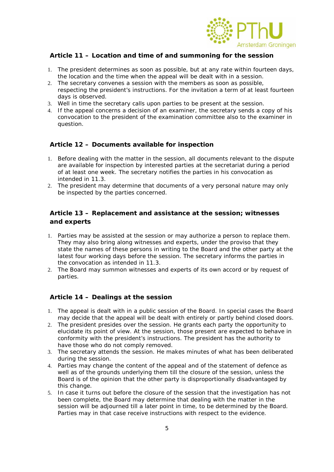

## **Article 11 – Location and time of and summoning for the session**

- 1. The president determines as soon as possible, but at any rate within fourteen days, the location and the time when the appeal will be dealt with in a session.
- 2. The secretary convenes a session with the members as soon as possible, respecting the president's instructions. For the invitation a term of at least fourteen days is observed.
- 3. Well in time the secretary calls upon parties to be present at the session.
- 4. If the appeal concerns a decision of an examiner, the secretary sends a copy of his convocation to the president of the examination committee also to the examiner in question.

## **Article 12 – Documents available for inspection**

- 1. Before dealing with the matter in the session, all documents relevant to the dispute are available for inspection by interested parties at the secretariat during a period of at least one week. The secretary notifies the parties in his convocation as intended in 11.3.
- 2. The president may determine that documents of a very personal nature may only be inspected by the parties concerned.

## **Article 13 – Replacement and assistance at the session; witnesses and experts**

- 1. Parties may be assisted at the session or may authorize a person to replace them. They may also bring along witnesses and experts, under the proviso that they state the names of these persons in writing to the Board and the other party at the latest four working days before the session. The secretary informs the parties in the convocation as intended in 11.3.
- 2. The Board may summon witnesses and experts of its own accord or by request of parties.

#### **Article 14 – Dealings at the session**

- 1. The appeal is dealt with in a public session of the Board. In special cases the Board may decide that the appeal will be dealt with entirely or partly behind closed doors.
- 2. The president presides over the session. He grants each party the opportunity to elucidate its point of view. At the session, those present are expected to behave in conformity with the president's instructions. The president has the authority to have those who do not comply removed.
- 3. The secretary attends the session. He makes minutes of what has been deliberated during the session.
- 4. Parties may change the content of the appeal and of the statement of defence as well as of the grounds underlying them till the closure of the session, unless the Board is of the opinion that the other party is disproportionally disadvantaged by this change.
- 5. In case it turns out before the closure of the session that the investigation has not been complete, the Board may determine that dealing with the matter in the session will be adjourned till a later point in time, to be determined by the Board. Parties may in that case receive instructions with respect to the evidence.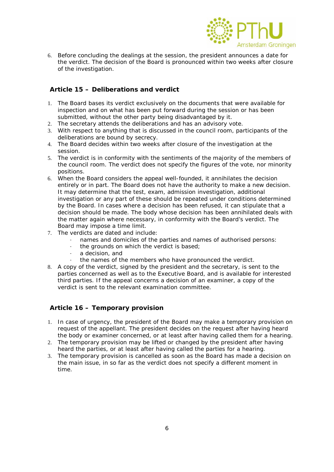

6. Before concluding the dealings at the session, the president announces a date for the verdict. The decision of the Board is pronounced within two weeks after closure of the investigation.

## **Article 15 – Deliberations and verdict**

- 1. The Board bases its verdict exclusively on the documents that were available for inspection and on what has been put forward during the session or has been submitted, without the other party being disadvantaged by it.
- 2. The secretary attends the deliberations and has an advisory vote.
- 3. With respect to anything that is discussed in the council room, participants of the deliberations are bound by secrecy.
- 4. The Board decides within two weeks after closure of the investigation at the session.
- 5. The verdict is in conformity with the sentiments of the majority of the members of the council room. The verdict does not specify the figures of the vote, nor minority positions.
- 6. When the Board considers the appeal well-founded, it annihilates the decision entirely or in part. The Board does not have the authority to make a new decision. It may determine that the test, exam, admission investigation, additional investigation or any part of these should be repeated under conditions determined by the Board. In cases where a decision has been refused, it can stipulate that a decision should be made. The body whose decision has been annihilated deals with the matter again where necessary, in conformity with the Board's verdict. The Board may impose a time limit.
- 7. The verdicts are dated and include:
	- names and domiciles of the parties and names of authorised persons:
	- the grounds on which the verdict is based;
	- a decision, and
	- the names of the members who have pronounced the verdict.
- 8. A copy of the verdict, signed by the president and the secretary, is sent to the parties concerned as well as to the Executive Board, and is available for interested third parties. If the appeal concerns a decision of an examiner, a copy of the verdict is sent to the relevant examination committee.

#### **Article 16 – Temporary provision**

- 1. In case of urgency, the president of the Board may make a temporary provision on request of the appellant. The president decides on the request after having heard the body or examiner concerned, or at least after having called them for a hearing.
- 2. The temporary provision may be lifted or changed by the president after having heard the parties, or at least after having called the parties for a hearing.
- 3. The temporary provision is cancelled as soon as the Board has made a decision on the main issue, in so far as the verdict does not specify a different moment in time.